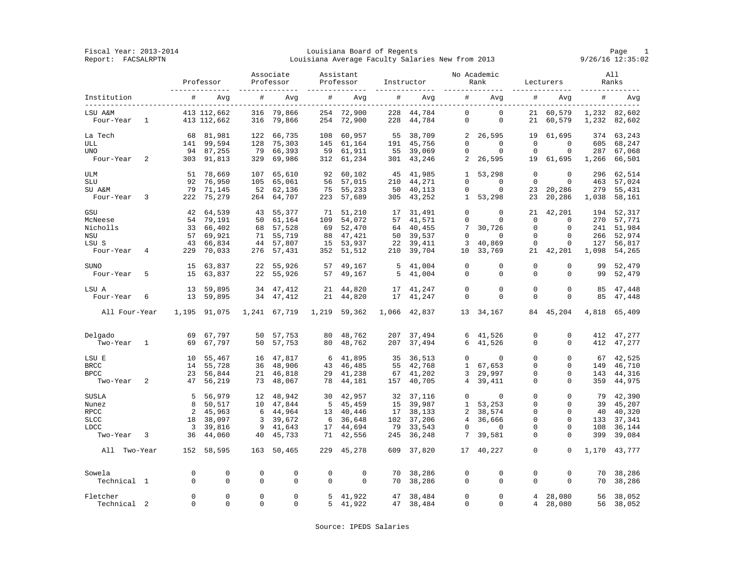Fiscal Year: 2013-2014 Louisiana Board of Regents Page 1 Report: FACSALRPTN Louisiana Average Faculty Salaries New from 2013 9/26/16 12:35:02

|                         |   | Professor          |                  | Associate<br>Professor<br>-------------- |                      | Assistant<br>Professor<br>-------------- |                  | Instructor<br>-------------- |                     | No Academic<br>Rank<br>-------------- |                       | Lecturers           |                        | All<br>Ranks |                     |
|-------------------------|---|--------------------|------------------|------------------------------------------|----------------------|------------------------------------------|------------------|------------------------------|---------------------|---------------------------------------|-----------------------|---------------------|------------------------|--------------|---------------------|
| Institution             |   | #                  | Avq              | #                                        | Avq                  | #                                        | Avq              | #                            | Avq                 | #                                     | Avq                   | $\#$                | Avq                    | #            | Avq                 |
| LSU A&M                 |   |                    | 413 112,662      | 316                                      | 79,866               |                                          | 254 72,900       | 228                          | 44,784              | $\Omega$                              | $\Omega$              | 21                  | 60,579                 |              | 1,232 82,602        |
| Four-Year               | 1 |                    | 413 112,662      | 316                                      | 79,866               | 254                                      | 72,900           | 228                          | 44,784              | 0                                     | $\mathbf 0$           | 21                  | 60,579                 | 1,232        | 82,602              |
| La Tech<br>ULL          |   | 68                 | 81,981           | 122                                      | 66,735               | 108                                      | 60,957           | 55                           | 38,709              | 2<br>$\mathbf 0$                      | 26,595<br>$\mathbf 0$ | 19<br>$\mathbf 0$   | 61,695<br>$\mathbf{0}$ | 374          | 63,243              |
| <b>UNO</b>              |   | 141<br>94          | 99,594           | 128                                      | 75,303               | 145                                      | 61,164           | 191                          | 45,756              | $\mathbf 0$                           | $\Omega$              | $\Omega$            | $\Omega$               | 605<br>287   | 68,247              |
|                         |   |                    | 87,255           | 79                                       | 66,393               | 59                                       | 61,911           | 55                           | 39,069              |                                       |                       |                     |                        |              | 67,068              |
| Four-Year               | 2 |                    | 303 91,813       | 329                                      | 69,986               | 312                                      | 61,234           |                              | 301 43,246          | $\overline{a}$                        | 26,595                | 19                  | 61,695                 | 1,266        | 66,501              |
| <b>ULM</b>              |   | 51                 | 78,669           | 107                                      | 65,610               | 92                                       | 60,102           | 45                           | 41,985              | 1                                     | 53,298                | $\mathbf 0$         | $\mathbf 0$            | 296          | 62,514              |
| SLU                     |   | 92                 | 76,950           | 105                                      | 65,061               | 56                                       | 57,015           | 210                          | 44,271              | $\mathbf 0$                           | 0                     | $\Omega$            | $\Omega$               | 463          | 57,024              |
| SU A&M                  |   | 79                 | 71,145           | 52                                       | 62,136               | 75                                       | 55,233           | 50                           | 40,113              | $\Omega$                              | $\Omega$              | 23                  | 20,286                 | 279          | 55,431              |
| Four-Year               | 3 | 222                | 75,279           | 264                                      | 64,707               | 223                                      | 57,689           | 305                          | 43,252              | $\mathbf{1}$                          | 53,298                | 23                  | 20,286                 | 1,038        | 58,161              |
| GSU                     |   | 42                 | 64,539           | 43                                       | 55,377               | 71                                       | 51,210           | 17                           | 31,491              | $\Omega$                              | $\Omega$              | 21                  | 42,201                 | 194          | 52,317              |
| McNeese                 |   | 54                 | 79,191           | 50                                       | 61,164               | 109                                      | 54,072           | 57                           | 41,571              | 0                                     | $\mathbf 0$           | $\mathbf 0$         | $\mathbf 0$            | 270          | 57,771              |
| Nicholls                |   | 33                 | 66,402           | 68                                       | 57,528               | 69                                       | 52,470           | 64                           | 40,455              | 7                                     | 30,726                | $\Omega$            | $\Omega$               | 241          | 51,984              |
| <b>NSU</b>              |   | 57                 | 69,921           | 71                                       | 55,719               | 88                                       | 47,421           | 50                           | 39,537              | $\Omega$                              | $\Omega$              | $\Omega$            | $\Omega$               | 266          | 52,974              |
| LSU S                   |   | 43                 | 66,834           | 44                                       | 57,807               | 15                                       | 53,937           | 22                           | 39,411              | 3                                     | 40,869                | 0                   | 0                      | 127          | 56,817              |
| Four-Year               | 4 | 229                | 70,033           | 276                                      | 57,431               | 352                                      | 51,512           | 210                          | 39,704              | 10                                    | 33,769                | 21                  | 42,201                 | 1,098        | 54,265              |
| <b>SUNO</b>             |   | 15                 |                  |                                          |                      | 57                                       |                  | 5                            |                     | $\Omega$                              | $\Omega$              | $\Omega$            | $\Omega$               | 99           |                     |
| Four-Year               | 5 | 15                 | 63,837<br>63,837 | 22<br>22                                 | 55,926<br>55,926     | 57                                       | 49,167<br>49,167 | 5                            | 41,004<br>41,004    | $\Omega$                              | $\Omega$              | $\Omega$            | $\Omega$               | 99           | 52,479<br>52,479    |
|                         |   |                    |                  |                                          |                      |                                          |                  |                              |                     |                                       |                       |                     |                        |              |                     |
| LSU A                   |   | 13                 | 59,895           | 34                                       | 47,412               | 21                                       | 44,820           | 17                           | 41,247              | $\mathbf 0$                           | $\mathbf 0$           | 0                   | $\Omega$               | 85           | 47,448              |
| Four-Year               | 6 | 13                 | 59,895           | 34                                       | 47,412               | 21                                       | 44,820           | 17                           | 41,247              | $\mathbf 0$                           | $\mathbf 0$           | $\mathbf 0$         | $\mathbf 0$            | 85           | 47,448              |
| All Four-Year           |   | 1,195              | 91,075           |                                          | 1,241 67,719         | 1,219                                    | 59,362           |                              | 1,066 42,837        |                                       | 13 34, 167            |                     | 84 45,204              | 4,818        | 65,409              |
|                         |   |                    |                  |                                          |                      |                                          |                  |                              |                     |                                       |                       |                     |                        |              |                     |
| Delgado                 |   | 69                 | 67,797           | 50                                       | 57,753               | 80                                       | 48,762           |                              | 207 37,494          |                                       | 6 41,526              | $\Omega$            | $\mathbf 0$            | 412          | 47,277              |
| Two-Year                | 1 | 69                 | 67,797           | 50                                       | 57,753               | 80                                       | 48,762           | 207                          | 37,494              | 6                                     | 41,526                | $\Omega$            | $\Omega$               | 412          | 47,277              |
| LSU E                   |   | 10                 | 55,467           | 16                                       | 47,817               | - 6                                      | 41,895           | 35                           | 36,513              | $\Omega$                              | 0                     | $\Omega$            | $\Omega$               | 67           | 42,525              |
| <b>BRCC</b>             |   | 14                 | 55,728           | 36                                       | 48,906               | 43                                       | 46,485           | 55                           | 42,768              | $\mathbf{1}$                          | 67,653                | $\Omega$            | $\Omega$               | 149          | 46,710              |
| <b>BPCC</b>             |   | 23                 | 56,844           | 21                                       | 46,818               | 29                                       | 41,238           | 67                           | 41,202              | 3                                     | 29,997                | 0                   | $\mathbf 0$            | 143          | 44,316              |
| Two-Year                | 2 | 47                 | 56,219           | 73                                       | 48,067               | 78                                       | 44,181           |                              | 157 40,705          | 4                                     | 39,411                | 0                   | $\mathbf 0$            | 359          | 44,975              |
| SUSLA                   |   | 5                  | 56,979           | 12                                       | 48,942               | 30                                       | 42,957           | 32                           | 37,116              | $\mathbf 0$                           | $\mathbf{0}$          | $\Omega$            | $\Omega$               | 79           | 42,390              |
| Nunez                   |   | 8                  | 50,517           | 10                                       | 47,844               | 5                                        | 45,459           | 15                           | 39,987              | $\mathbf{1}$                          | 53,253                | 0                   | $\mathbf 0$            | 39           | 45,207              |
| <b>RPCC</b>             |   | 2                  | 45,963           | 6                                        | 44,964               | 13                                       | 40,446           | 17                           | 38,133              | $\overline{2}$                        | 38,574                | $\Omega$            | $\Omega$               | 40           | 40,320              |
| <b>SLCC</b>             |   | 18                 | 38,097           | 3                                        | 39,672               | 6                                        | 36,648           | 102                          | 37,206              | $\overline{4}$                        | 36,666                | 0                   | $\mathbf 0$            | 133          | 37,341              |
| LDCC                    |   | 3                  | 39,816           | 9                                        | 41,643               | 17                                       | 44,694           | 79                           | 33,543              | $\Omega$                              | $\Omega$              | $\Omega$            | $\Omega$               | 108          | 36,144              |
|                         | 3 | 36                 | 44,060           | 40                                       | 45,733               | 71                                       | 42,556           | 245                          |                     | 7                                     |                       | $\Omega$            | $\Omega$               | 399          |                     |
| Two-Year                |   |                    |                  |                                          |                      |                                          |                  |                              | 36,248              |                                       | 39,581                |                     |                        |              | 39,084              |
| All<br>Two-Year         |   |                    | 152 58,595       | 163                                      | 50,465               | 229                                      | 45,278           | 609                          | 37,820              | 17                                    | 40,227                | $\mathbf 0$         | $\mathbf 0$            | 1,170        | 43,777              |
| Sowela                  |   | $\Omega$           | $\mathbf 0$      | $\mathbf 0$                              | $\mathbf 0$          | 0                                        | $\mathbf 0$      | 70                           | 38,286              | $\mathbf 0$                           | $\mathbf 0$           | 0                   | $\mathbf 0$            | 70           | 38,286              |
| Technical 1             |   | $\Omega$           | $\mathbf 0$      | $\Omega$                                 | $\mathbf 0$          | $\Omega$                                 | $\Omega$         | 70                           | 38,286              | $\Omega$                              | $\Omega$              | $\Omega$            | $\Omega$               | 70           | 38,286              |
|                         |   |                    | $\Omega$         |                                          |                      |                                          |                  |                              |                     |                                       |                       |                     |                        |              |                     |
| Fletcher<br>Technical 2 |   | $\Omega$<br>$\cap$ | $\Omega$         | $\Omega$<br>$\Omega$                     | $\Omega$<br>$\Omega$ | 5<br>5                                   | 41,922<br>41,922 | 47                           | 38,484<br>47 38,484 | $\Omega$<br>$\Omega$                  | $\Omega$<br>$\Omega$  | $\overline{4}$<br>4 | 28,080<br>28,080       | 56           | 38,052<br>56 38,052 |
|                         |   |                    |                  |                                          |                      |                                          |                  |                              |                     |                                       |                       |                     |                        |              |                     |